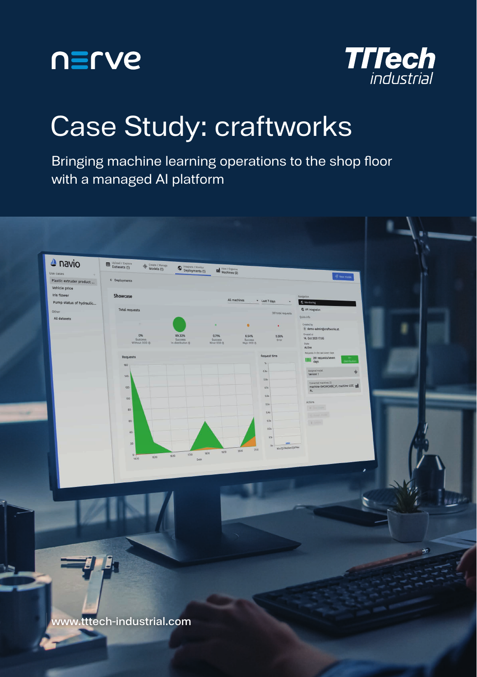



## Case Study: craftworks

Bringing machine learning operations to the shop floor with a managed AI platform



 $\mathcal{L}_\Gamma$